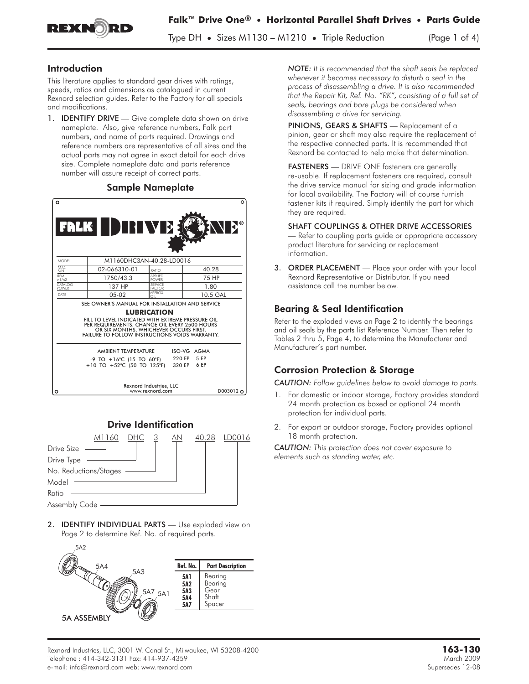

Type DH **•** Sizes M1130 – M1210 **•** Triple Reduction (Page 1 of 4)

### Introduction

This literature applies to standard gear drives with ratings, speeds, ratios and dimensions as catalogued in current Rexnord selection guides. Refer to the Factory for all specials and modifications.

1. **IDENTIFY DRIVE** — Give complete data shown on drive nameplate. Also, give reference numbers, Falk part numbers, and name of parts required. Drawings and reference numbers are representative of all sizes and the actual parts may not agree in exact detail for each drive size. Complete nameplate data and parts reference number will assure receipt of correct parts.

#### Sample Nameplate

| $\circ$<br>FALK DEIVE<br><b>NE</b> ®                                                                                                                                                                                                                                           |                                                                                                |                                   |                             |  |
|--------------------------------------------------------------------------------------------------------------------------------------------------------------------------------------------------------------------------------------------------------------------------------|------------------------------------------------------------------------------------------------|-----------------------------------|-----------------------------|--|
| <b>MODEL</b>                                                                                                                                                                                                                                                                   |                                                                                                | M1160DHC3AN-40.28-LD0016          |                             |  |
| MO<br>S/N                                                                                                                                                                                                                                                                      | 02-066310-01                                                                                   | RATIO                             | 40.28                       |  |
| <b>RPM</b><br>n1/n2                                                                                                                                                                                                                                                            | 1750/43.3                                                                                      | <b>APPLIED</b><br><b>POWER</b>    | 75 HP                       |  |
| <b>CATALOG</b><br><b>POWER</b>                                                                                                                                                                                                                                                 | 137 HP                                                                                         | <b>SERVICE</b><br><b>FACTOR</b>   | 1.80                        |  |
| DATE                                                                                                                                                                                                                                                                           | $05-02$                                                                                        | APPROX<br>∩⊪                      | 10.5 GAL                    |  |
| SEE OWNER'S MANUAL FOR INSTALLATION AND SERVICE<br><b>LUBRICATION</b><br>FILL TO LEVEL INDICATED WITH EXTREME PRESSURE OIL<br>PER REQUIREMENTS. CHANGE OIL EVERY 2500 HOURS<br>OR SIX MONTHS, WHICHEVER OCCURS FIRST.<br><b>FAILURE TO FOLLOW INSTRUCTIONS VOIDS WARRANTY.</b> |                                                                                                |                                   |                             |  |
|                                                                                                                                                                                                                                                                                | AMBIENT TEMPERATURE<br>-9 TO $+16^{\circ}$ C (15 TO 60°F)<br>+10 TO +52°C (50 TO 125°F) 320 EP | 220 EP<br>Rexnord Industries, LLC | ISO-VG AGMA<br>5 EP<br>6 EP |  |
|                                                                                                                                                                                                                                                                                |                                                                                                | www.rexnord.com                   | D003012                     |  |



2. **IDENTIFY INDIVIDUAL PARTS** - Use exploded view on Page 2 to determine Ref. No. of required parts.



*NOTE: It is recommended that the shaft seals be replaced whenever it becomes necessary to disturb a seal in the process of disassembling a drive. It is also recommended that the Repair Kit, Ref. No. "RK", consisting of a full set of seals, bearings and bore plugs be considered when disassembling a drive for servicing.* process of disassembling a drive. It is also recomme<br>that the Repair Kit, Ref. No. "RK", consisting of a full<br>seals, bearings and bore plugs be considered when<br>disassembling a drive for servicing.<br>**PINIONS, GEARS & SHAFTS** 

pinion, gear or shaft may also require the replacement of the respective connected parts. It is recommended that Rexnord be contacted to help make that determination. **PINIONS, GEARS & SHAFTS** — Replacement of a pinion, gear or shaft may also require the replacement he respective connected parts. It is recommended the Rexnord be contacted to help make that determinati **FASTENERS** — DRIV

re-usable. If replacement fasteners are required, consult the drive service manual for sizing and grade information for local availability. The Factory will of course furnish fastener kits if required. Simply identify the part for which they are required.

SHAFT COUPLINGS & OTHER DRIVE ACCESSORIES Refer to coupling parts guide or appropriate accessory product literature for servicing or replacement information.

3. ORDER PLACEMENT - Place your order with your local Rexnord Representative or Distributor. If you need assistance call the number below.

# Bearing & Seal Identification

Refer to the exploded views on Page 2 to identify the bearings and oil seals by the parts list Reference Number. Then refer to Tables 2 thru 5, Page 4, to determine the Manufacturer and Manufacturer's part number.

# Corrosion Protection & Storage

*CAUTION: Follow guidelines below to avoid damage to parts.*

- 1. For domestic or indoor storage, Factory provides standard 24 month protection as boxed or optional 24 month protection for individual parts.
- 2. For export or outdoor storage, Factory provides optional 18 month protection.

*CAUTION: This protection does not cover exposure to elements such as standing water, etc.*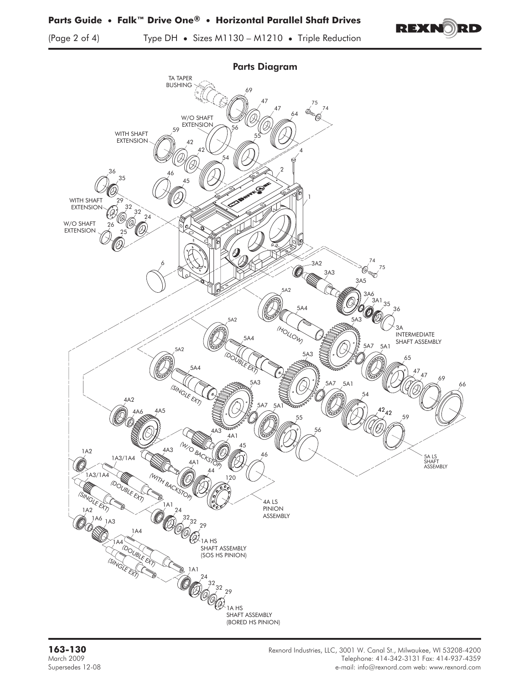

(Page 2 of 4) Type DH **•** Sizes M1130 – M1210 **•** Triple Reduction

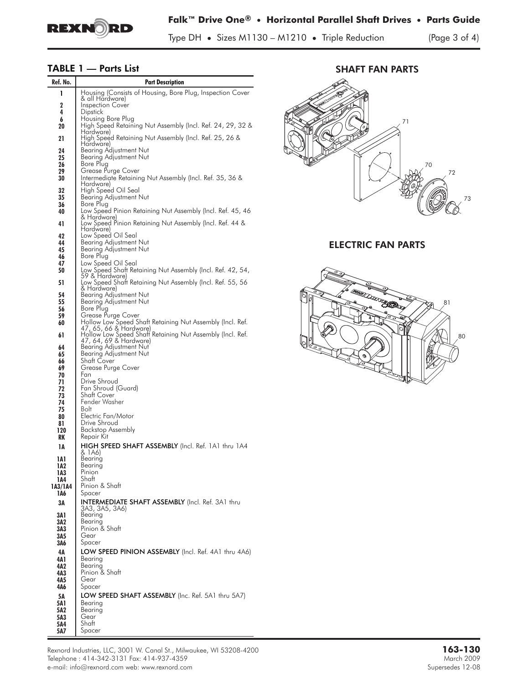

Type DH **•** Sizes M1130 – M1210 **•** Triple Reduction (Page 3 of 4)

## **TABLE 1 — Parts List**

| Ref. No.       | <b>Part Description</b>                                                             |
|----------------|-------------------------------------------------------------------------------------|
| 1              | Housing (Consists of Housing, Bore Plug, Inspection Cover                           |
| 2              | & all Hardware)<br><b>Inspection Cover</b>                                          |
| 4              | <b>Dipstick</b>                                                                     |
| 6<br>20        | Housing Bore Plug<br>High Speed Retaining Nut Assembly (Incl. Ref. 24, 29, 32 &     |
|                | Hardware)                                                                           |
| 21             | High Speed Retaining Nut Assembly (Incl. Ref. 25, 26 &<br>Hardware)                 |
| 24<br>25       | Bearing Adjustment Nut<br>Bearing Adjustment Nut                                    |
| 26             | Bore Plug                                                                           |
| 29<br>30       | Grease Purge Cover<br>Intermediate Retaining Nut Assembly (Incl. Ref. 35, 36 &      |
|                | Hardware)                                                                           |
| 32<br>35       | High Speed Oil Seal<br>Bearing Adjustment Nut                                       |
| 36             | Bore Plug                                                                           |
| 40             | Low Speed Pinion Retaining Nut Assembly (Incl. Ret. 45, 46<br>& Hardware)           |
| 41             | Low Speed Pinion Retaining Nut Assembly (Incl. Ref. 44 &                            |
| 42             | Hardware)<br>Low Speed Oil Seal                                                     |
| 44<br>45       | Bearing Adjustment Nut<br>Bearing Adjustment Nut                                    |
| 46             | Bore Plug                                                                           |
| 47<br>50       | Low Speed Oil Seal<br>Low Speed Shaft Retaining Nut Assembly (Incl. Ref. 42, 54,    |
|                | 59 & Hardware)                                                                      |
| 51             | Low Speed Shaft Retaining Nut Assembly (Incl. Ret. 55, 56<br>& Hardware)            |
| 54             | Bearing Adjustment Nut<br>Bearing Adjustment Nut                                    |
| 55<br>56       | Bore Plua                                                                           |
| 59<br>60       | Grease Purge Cover<br>Hollow Low Speed Shaft Retaining Nut Assembly (Incl. Ref.     |
|                | 47, 65, 66 & Hardware)                                                              |
| 61             | Hollow Low Speed Shaff Retaining Nut Assembly (Incl. Ref.<br>47, 64, 69 & Hardware) |
| 64             | Bearing Adjustment Nut                                                              |
| 65<br>66       | Bearing Adjustment Nut<br>Shatt Cover                                               |
| 69             | Grease Purge Cover<br>Fan                                                           |
| 70<br>71       | Drive Shroud                                                                        |
| 72<br>73       | Fan Shroud (Guard)<br>Shaft Cover                                                   |
| 74             | Fender Washer                                                                       |
| 75<br>80       | Bolt<br>Electric Fan/Motor                                                          |
| 81             | Drive Shroud                                                                        |
| 120<br>RK      | Backstop Assembly<br>Repair Kit                                                     |
| 1А             | HIGH SPEED SHAFT ASSEMBLY (Incl. Ref. 1A1 thru 1A4                                  |
|                | & 1A6)                                                                              |
| 1A1<br>1A2     | Bearing<br>Bearing                                                                  |
| 1A3            | Pinion<br>Shatt                                                                     |
| 1A4<br>1A3/1A4 | Pinion & Shaft                                                                      |
| 1A6            | Spacer                                                                              |
| ЗΑ             | <b>INTERMEDIATE SHAFT ASSEMBLY</b> (Incl. Ref. 3A1 thru<br>3A3, 3A5, 3A6)           |
| 3A 1           | Bearing                                                                             |
| 3A2<br>3A3     | Bearing<br>Pinion & Shaft                                                           |
| 3A5            | Gear                                                                                |
| 3A6            | Spacer                                                                              |
| 4А<br>4A 1     | LOW SPEED PINION ASSEMBLY (Incl. Ref. 4A1 thru 4A6)<br>Bearina                      |
| 4A2            | Bearing                                                                             |
| 4A3<br>4A5     | Pinion & Shaft<br>Gear                                                              |
| 4A6            | Spacer                                                                              |
| 5Α             | LOW SPEED SHAFT ASSEMBLY (Inc. Ref. 5A1 thru 5A7)                                   |
| 5A 1<br>5A2    | Bearing<br>Bearing                                                                  |
| 5A3            | Gear<br>Shaft                                                                       |
| 5A4<br>5A7     | Spacer                                                                              |

71 70 72 73 SHAFT FAN PARTS

ELECTRIC FAN PARTS



Rexnord Industries, LLC, 3001 W. Canal St., Milwaukee, WI 53208-4200 **163-130** Telephone : 414-342-3131 Fax: 414-937-4359 March 2009 e-mail: info@rexnord.com web: www.rexnord.com